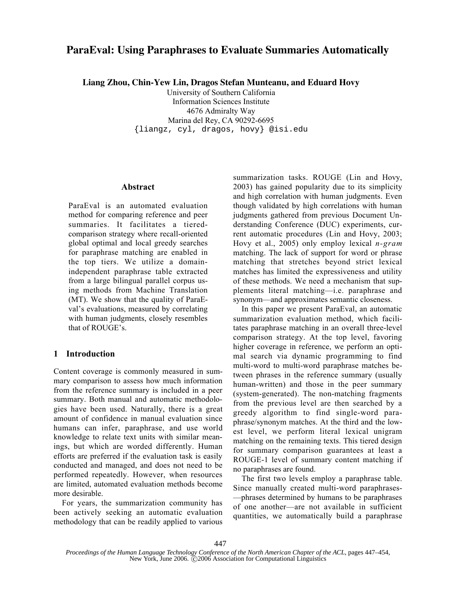# **ParaEval: Using Paraphrases to Evaluate Summaries Automatically**

**Liang Zhou, Chin-Yew Lin, Dragos Stefan Munteanu, and Eduard Hovy**

University of Southern California Information Sciences Institute 4676 Admiralty Way Marina del Rey, CA 90292-6695 {liangz, cyl, dragos, hovy} @isi.edu

### Abstract

ParaEval is an automated evaluation method for comparing reference and peer summaries. It facilitates a tieredcomparison strategy where recall-oriented global optimal and local greedy searches for paraphrase matching are enabled in the top tiers. We utilize a domainindependent paraphrase table extracted from a large bilingual parallel corpus using methods from Machine Translation (MT). We show that the quality of ParaEval's evaluations, measured by correlating with human judgments, closely resembles that of ROUGE's.

# 1 Introduction

Content coverage is commonly measured in summary comparison to assess how much information from the reference summary is included in a peer summary. Both manual and automatic methodologies have been used. Naturally, there is a great amount of confidence in manual evaluation since humans can infer, paraphrase, and use world knowledge to relate text units with similar meanings, but which are worded differently. Human efforts are preferred if the evaluation task is easily conducted and managed, and does not need to be performed repeatedly. However, when resources are limited, automated evaluation methods become more desirable.

For years, the summarization community has been actively seeking an automatic evaluation methodology that can be readily applied to various summarization tasks. ROUGE (Lin and Hovy, 2003) has gained popularity due to its simplicity and high correlation with human judgments. Even though validated by high correlations with human judgments gathered from previous Document Understanding Conference (DUC) experiments, current automatic procedures (Lin and Hovy, 2003; Hovy et al., 2005) only employ lexical *n-gram* matching. The lack of support for word or phrase matching that stretches beyond strict lexical matches has limited the expressiveness and utility of these methods. We need a mechanism that supplements literal matching—i.e. paraphrase and synonym—and approximates semantic closeness.

In this paper we present ParaEval, an automatic summarization evaluation method, which facilitates paraphrase matching in an overall three-level comparison strategy. At the top level, favoring higher coverage in reference, we perform an optimal search via dynamic programming to find multi-word to multi-word paraphrase matches between phrases in the reference summary (usually human-written) and those in the peer summary (system-generated). The non-matching fragments from the previous level are then searched by a greedy algorithm to find single-word paraphrase/synonym matches. At the third and the lowest level, we perform literal lexical unigram matching on the remaining texts. This tiered design for summary comparison guarantees at least a ROUGE-1 level of summary content matching if no paraphrases are found.

The first two levels employ a paraphrase table. Since manually created multi-word paraphrases- —phrases determined by humans to be paraphrases of one another—are not available in sufficient quantities, we automatically build a paraphrase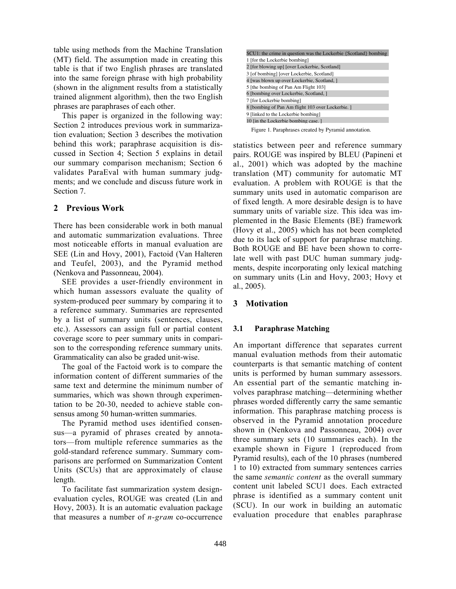table using methods from the Machine Translation (MT) field. The assumption made in creating this table is that if two English phrases are translated into the same foreign phrase with high probability (shown in the alignment results from a statistically trained alignment algorithm), then the two English phrases are paraphrases of each other.

This paper is organized in the following way: Section 2 introduces previous work in summarization evaluation; Section 3 describes the motivation behind this work; paraphrase acquisition is discussed in Section 4; Section 5 explains in detail our summary comparison mechanism; Section 6 validates ParaEval with human summary judgments; and we conclude and discuss future work in Section 7.

# 2 Previous Work

There has been considerable work in both manual and automatic summarization evaluations. Three most noticeable efforts in manual evaluation are SEE (Lin and Hovy, 2001), Factoid (Van Halteren and Teufel, 2003), and the Pyramid method (Nenkova and Passonneau, 2004).

SEE provides a user-friendly environment in which human assessors evaluate the quality of system-produced peer summary by comparing it to a reference summary. Summaries are represented by a list of summary units (sentences, clauses, etc.). Assessors can assign full or partial content coverage score to peer summary units in comparison to the corresponding reference summary units. Grammaticality can also be graded unit-wise.

The goal of the Factoid work is to compare the information content of different summaries of the same text and determine the minimum number of summaries, which was shown through experimentation to be 20-30, needed to achieve stable consensus among 50 human-written summaries.

The Pyramid method uses identified consensus—a pyramid of phrases created by annotators—from multiple reference summaries as the gold-standard reference summary. Summary comparisons are performed on Summarization Content Units (SCUs) that are approximately of clause length.

To facilitate fast summarization system designevaluation cycles, ROUGE was created (Lin and Hovy, 2003). It is an automatic evaluation package that measures a number of *n-gram* co-occurrence

| SCU1: the crime in question was the Lockerbie {Scotland} bombing |  |  |  |
|------------------------------------------------------------------|--|--|--|
| 1 [for the Lockerbie bombing]                                    |  |  |  |
| 2 [for blowing up] [over Lockerbie, Scotland]                    |  |  |  |
| 3 [of bombing] [over Lockerbie, Scotland]                        |  |  |  |
| 4 [was blown up over Lockerbie, Scotland, ]                      |  |  |  |
| 5 [the bombing of Pan Am Flight 103]                             |  |  |  |
| 6 [bombing over Lockerbie, Scotland, ]                           |  |  |  |
| 7 [for Lockerbie bombing]                                        |  |  |  |
| 8 [bombing of Pan Am flight 103 over Lockerbie.]                 |  |  |  |
| 9 [linked to the Lockerbie bombing]                              |  |  |  |
| 10 [in the Lockerbie bombing case.]                              |  |  |  |

| Figure 1. Paraphrases created by Pyramid annotation. |  |  |
|------------------------------------------------------|--|--|

statistics between peer and reference summary pairs. ROUGE was inspired by BLEU (Papineni et al., 2001) which was adopted by the machine translation (MT) community for automatic MT evaluation. A problem with ROUGE is that the summary units used in automatic comparison are of fixed length. A more desirable design is to have summary units of variable size. This idea was implemented in the Basic Elements (BE) framework (Hovy et al., 2005) which has not been completed due to its lack of support for paraphrase matching. Both ROUGE and BE have been shown to correlate well with past DUC human summary judgments, despite incorporating only lexical matching on summary units (Lin and Hovy, 2003; Hovy et al., 2005).

# 3 Motivation

### 3.1 Paraphrase Matching

An important difference that separates current manual evaluation methods from their automatic counterparts is that semantic matching of content units is performed by human summary assessors. An essential part of the semantic matching involves paraphrase matching—determining whether phrases worded differently carry the same semantic information. This paraphrase matching process is observed in the Pyramid annotation procedure shown in (Nenkova and Passonneau, 2004) over three summary sets (10 summaries each). In the example shown in Figure 1 (reproduced from Pyramid results), each of the 10 phrases (numbered 1 to 10) extracted from summary sentences carries the same *semantic content* as the overall summary content unit labeled SCU1 does. Each extracted phrase is identified as a summary content unit (SCU). In our work in building an automatic evaluation procedure that enables paraphrase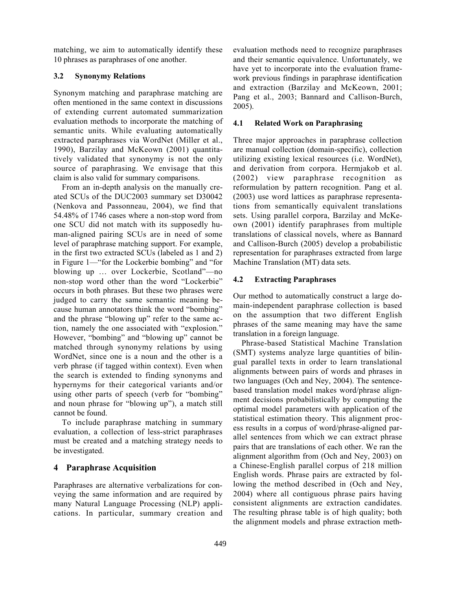matching, we aim to automatically identify these 10 phrases as paraphrases of one another.

### 3.2 Synonymy Relations

Synonym matching and paraphrase matching are often mentioned in the same context in discussions of extending current automated summarization evaluation methods to incorporate the matching of semantic units. While evaluating automatically extracted paraphrases via WordNet (Miller et al., 1990), Barzilay and McKeown (2001) quantitatively validated that synonymy is not the only source of paraphrasing. We envisage that this claim is also valid for summary comparisons.

From an in-depth analysis on the manually created SCUs of the DUC2003 summary set D30042 (Nenkova and Passonneau, 2004), we find that 54.48% of 1746 cases where a non-stop word from one SCU did not match with its supposedly human-aligned pairing SCUs are in need of some level of paraphrase matching support. For example, in the first two extracted SCUs (labeled as 1 and 2) in Figure 1—"for the Lockerbie bombing" and "for blowing up … over Lockerbie, Scotland"—no non-stop word other than the word "Lockerbie" occurs in both phrases. But these two phrases were judged to carry the same semantic meaning because human annotators think the word "bombing" and the phrase "blowing up" refer to the same action, namely the one associated with "explosion." However, "bombing" and "blowing up" cannot be matched through synonymy relations by using WordNet, since one is a noun and the other is a verb phrase (if tagged within context). Even when the search is extended to finding synonyms and hypernyms for their categorical variants and/or using other parts of speech (verb for "bombing" and noun phrase for "blowing up"), a match still cannot be found.

To include paraphrase matching in summary evaluation, a collection of less-strict paraphrases must be created and a matching strategy needs to be investigated.

# 4 Paraphrase Acquisition

Paraphrases are alternative verbalizations for conveying the same information and are required by many Natural Language Processing (NLP) applications. In particular, summary creation and evaluation methods need to recognize paraphrases and their semantic equivalence. Unfortunately, we have yet to incorporate into the evaluation framework previous findings in paraphrase identification and extraction (Barzilay and McKeown, 2001; Pang et al., 2003; Bannard and Callison-Burch, 2005).

### 4.1 Related Work on Paraphrasing

Three major approaches in paraphrase collection are manual collection (domain-specific), collection utilizing existing lexical resources (i.e. WordNet), and derivation from corpora. Hermjakob et al. (2002) view paraphrase recognition as reformulation by pattern recognition. Pang et al. (2003) use word lattices as paraphrase representations from semantically equivalent translations sets. Using parallel corpora, Barzilay and McKeown (2001) identify paraphrases from multiple translations of classical novels, where as Bannard and Callison-Burch (2005) develop a probabilistic representation for paraphrases extracted from large Machine Translation (MT) data sets.

### 4.2 Extracting Paraphrases

Our method to automatically construct a large domain-independent paraphrase collection is based on the assumption that two different English phrases of the same meaning may have the same translation in a foreign language.

Phrase-based Statistical Machine Translation (SMT) systems analyze large quantities of bilingual parallel texts in order to learn translational alignments between pairs of words and phrases in two languages (Och and Ney, 2004). The sentencebased translation model makes word/phrase alignment decisions probabilistically by computing the optimal model parameters with application of the statistical estimation theory. This alignment process results in a corpus of word/phrase-aligned parallel sentences from which we can extract phrase pairs that are translations of each other. We ran the alignment algorithm from (Och and Ney, 2003) on a Chinese-English parallel corpus of 218 million English words. Phrase pairs are extracted by following the method described in (Och and Ney, 2004) where all contiguous phrase pairs having consistent alignments are extraction candidates. The resulting phrase table is of high quality; both the alignment models and phrase extraction meth-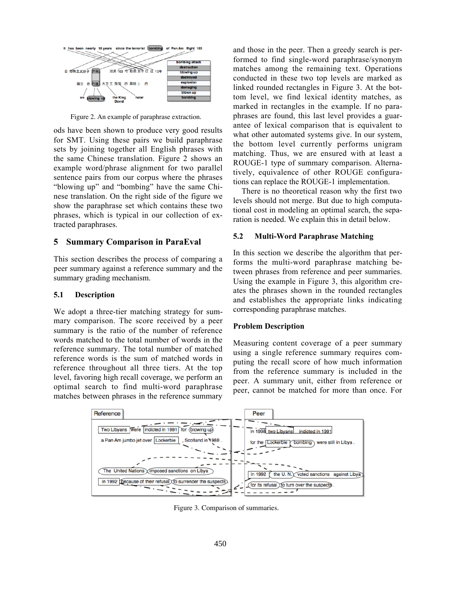

Figure 2. An example of paraphrase extraction.

ods have been shown to produce very good results for SMT. Using these pairs we build paraphrase sets by joining together all English phrases with the same Chinese translation. Figure 2 shows an example word/phrase alignment for two parallel sentence pairs from our corpus where the phrases "blowing up" and "bombing" have the same Chinese translation. On the right side of the figure we show the paraphrase set which contains these two phrases, which is typical in our collection of extracted paraphrases.

### 5 Summary Comparison in ParaEval

This section describes the process of comparing a peer summary against a reference summary and the summary grading mechanism.

### 5.1 Description

We adopt a three-tier matching strategy for summary comparison. The score received by a peer summary is the ratio of the number of reference words matched to the total number of words in the reference summary. The total number of matched reference words is the sum of matched words in reference throughout all three tiers. At the top level, favoring high recall coverage, we perform an optimal search to find multi-word paraphrase matches between phrases in the reference summary

and those in the peer. Then a greedy search is performed to find single-word paraphrase/synonym matches among the remaining text. Operations conducted in these two top levels are marked as linked rounded rectangles in Figure 3. At the bottom level, we find lexical identity matches, as marked in rectangles in the example. If no paraphrases are found, this last level provides a guarantee of lexical comparison that is equivalent to what other automated systems give. In our system, the bottom level currently performs unigram matching. Thus, we are ensured with at least a ROUGE-1 type of summary comparison. Alternatively, equivalence of other ROUGE configurations can replace the ROUGE-1 implementation.

There is no theoretical reason why the first two levels should not merge. But due to high computational cost in modeling an optimal search, the separation is needed. We explain this in detail below.

#### 5.2 Multi-Word Paraphrase Matching

In this section we describe the algorithm that performs the multi-word paraphrase matching between phrases from reference and peer summaries. Using the example in Figure 3, this algorithm creates the phrases shown in the rounded rectangles and establishes the appropriate links indicating corresponding paraphrase matches.

### Problem Description

Measuring content coverage of a peer summary using a single reference summary requires computing the recall score of how much information from the reference summary is included in the peer. A summary unit, either from reference or peer, cannot be matched for more than once. For



Figure 3. Comparison of summaries.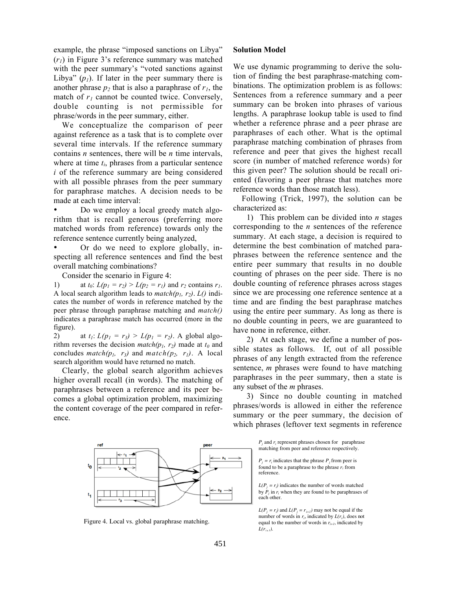example, the phrase "imposed sanctions on Libya" (*r1*) in Figure 3's reference summary was matched with the peer summary's "voted sanctions against Libya"  $(p_1)$ . If later in the peer summary there is another phrase  $p_2$  that is also a paraphrase of  $r_1$ , the match of  $r_1$  cannot be counted twice. Conversely, double counting is not permissible for phrase/words in the peer summary, either.

We conceptualize the comparison of peer against reference as a task that is to complete over several time intervals. If the reference summary contains *n* sentences, there will be *n* time intervals, where at time  $t_i$ , phrases from a particular sentence *i* of the reference summary are being considered with all possible phrases from the peer summary for paraphrase matches. A decision needs to be made at each time interval:

• Do we employ a local greedy match algorithm that is recall generous (preferring more matched words from reference) towards only the reference sentence currently being analyzed,

• Or do we need to explore globally, inspecting all reference sentences and find the best overall matching combinations?

Consider the scenario in Figure 4:

1) at  $t_0$ :  $L(p_1 = r_2) > L(p_2 = r_1)$  and  $r_2$  contains  $r_1$ . A local search algorithm leads to  $match(p_1, r_2)$ .  $L()$  indicates the number of words in reference matched by the peer phrase through paraphrase matching and *match()* indicates a paraphrase match has occurred (more in the figure).

2) at  $t_1$ :  $L(p_1 = r_3) > L(p_1 = r_2)$ . A global algorithm reverses the decision *match(p<sub>1</sub>, r<sub>2</sub>)* made at  $t_0$  and concludes  $match(p_1, r_3)$  and  $match(p_2, r_1)$ . A local search algorithm would have returned no match.

Clearly, the global search algorithm achieves higher overall recall (in words). The matching of paraphrases between a reference and its peer becomes a global optimization problem, maximizing the content coverage of the peer compared in reference.

### Solution Model

We use dynamic programming to derive the solution of finding the best paraphrase-matching combinations. The optimization problem is as follows: Sentences from a reference summary and a peer summary can be broken into phrases of various lengths. A paraphrase lookup table is used to find whether a reference phrase and a peer phrase are paraphrases of each other. What is the optimal paraphrase matching combination of phrases from reference and peer that gives the highest recall score (in number of matched reference words) for this given peer? The solution should be recall oriented (favoring a peer phrase that matches more reference words than those match less).

Following (Trick, 1997), the solution can be characterized as:

1) This problem can be divided into *n* stages corresponding to the *n* sentences of the reference summary. At each stage, a decision is required to determine the best combination of matched paraphrases between the reference sentence and the entire peer summary that results in no double counting of phrases on the peer side. There is no double counting of reference phrases across stages since we are processing one reference sentence at a time and are finding the best paraphrase matches using the entire peer summary. As long as there is no double counting in peers, we are guaranteed to have none in reference, either.

2) At each stage, we define a number of possible states as follows. If, out of all possible phrases of any length extracted from the reference sentence, *m* phrases were found to have matching paraphrases in the peer summary, then a state is any subset of the *m* phrases.

3) Since no double counting in matched phrases/words is allowed in either the reference summary or the peer summary, the decision of which phrases (leftover text segments in reference

ref

Figure 4. Local vs. global paraphrase matching.

*P<sub>i</sub>* and *r<sub>i</sub>* represent phrases chosen for paraphrase matching from peer and reference respectively.

 $P_j = r_i$  indicates that the phrase  $P_j$  from peer is found to be a paraphrase to the phrase *ri* from reference.

 $L(P_j = r_i)$  indicates the number of words matched by  $P_i$  in  $r_i$  when they are found to be paraphrases of each other.

 $L(P_j = r_i)$  and  $L(P_j = r_{i+1})$  may not be equal if the number of words in  $r_i$ , indicated by  $L(r_i)$ , does not equal to the number of words in  $r_{i+1}$ , indicated by *L(ri+1)*.

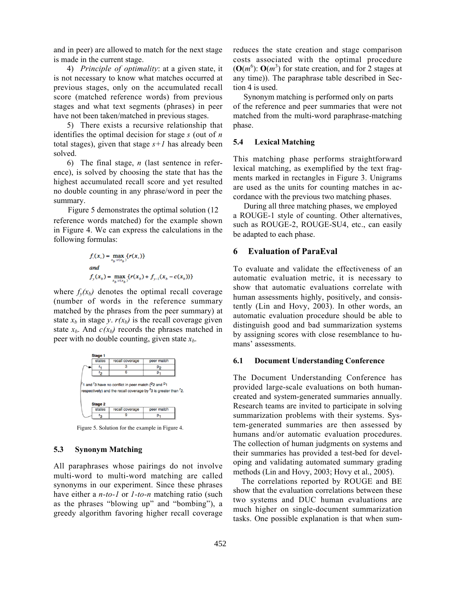and in peer) are allowed to match for the next stage is made in the current stage.

4) *Principle of optimality*: at a given state, it is not necessary to know what matches occurred at previous stages, only on the accumulated recall score (matched reference words) from previous stages and what text segments (phrases) in peer have not been taken/matched in previous stages.

5) There exists a recursive relationship that identifies the optimal decision for stage *s* (out of *n* total stages), given that stage  $s+1$  has already been solved.

6) The final stage, *n* (last sentence in reference), is solved by choosing the state that has the highest accumulated recall score and yet resulted no double counting in any phrase/word in peer the summary.

Figure 5 demonstrates the optimal solution (12 reference words matched) for the example shown in Figure 4. We can express the calculations in the following formulas:

$$
f_1(x_s) = \max_{x_b: c(x_b)} \{r(x_s)\}
$$
  
and  

$$
f_y(x_b) = \max_{x_b: c(x_b)} \{r(x_b) + f_{y-1}(x_b - c(x_b))\}
$$

where  $f_{\nu}(x_b)$  denotes the optimal recall coverage (number of words in the reference summary matched by the phrases from the peer summary) at state  $x_b$  in stage *y*.  $r(x_b)$  is the recall coverage given state  $x_b$ . And  $c(x_b)$  records the phrases matched in peer with no double counting, given state  $x<sub>b</sub>$ .



Figure 5. Solution for the example in Figure 4.

### 5.3 Synonym Matching

All paraphrases whose pairings do not involve multi-word to multi-word matching are called synonyms in our experiment. Since these phrases have either a *n-to-1* or *1-to-n* matching ratio (such as the phrases "blowing up" and "bombing"), a greedy algorithm favoring higher recall coverage reduces the state creation and stage comparison costs associated with the optimal procedure  $(O(m^6))$ :  $O(m^3)$  for state creation, and for 2 stages at any time)). The paraphrase table described in Section 4 is used.

 Synonym matching is performed only on parts of the reference and peer summaries that were not matched from the multi-word paraphrase-matching phase.

### 5.4 Lexical Matching

This matching phase performs straightforward lexical matching, as exemplified by the text fragments marked in rectangles in Figure 3. Unigrams are used as the units for counting matches in accordance with the previous two matching phases.

 During all three matching phases, we employed a ROUGE-1 style of counting. Other alternatives, such as ROUGE-2, ROUGE-SU4, etc., can easily be adapted to each phase.

# 6 Evaluation of ParaEval

To evaluate and validate the effectiveness of an automatic evaluation metric, it is necessary to show that automatic evaluations correlate with human assessments highly, positively, and consistently (Lin and Hovy, 2003). In other words, an automatic evaluation procedure should be able to distinguish good and bad summarization systems by assigning scores with close resemblance to humans' assessments.

### 6.1 Document Understanding Conference

The Document Understanding Conference has provided large-scale evaluations on both humancreated and system-generated summaries annually. Research teams are invited to participate in solving summarization problems with their systems. System-generated summaries are then assessed by humans and/or automatic evaluation procedures. The collection of human judgments on systems and their summaries has provided a test-bed for developing and validating automated summary grading methods (Lin and Hovy, 2003; Hovy et al., 2005).

The correlations reported by ROUGE and BE show that the evaluation correlations between these two systems and DUC human evaluations are much higher on single-document summarization tasks. One possible explanation is that when sum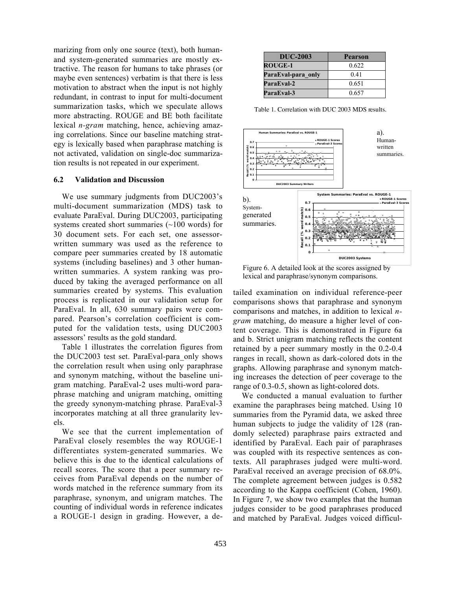marizing from only one source (text), both humanand system-generated summaries are mostly extractive. The reason for humans to take phrases (or maybe even sentences) verbatim is that there is less motivation to abstract when the input is not highly redundant, in contrast to input for multi-document summarization tasks, which we speculate allows more abstracting. ROUGE and BE both facilitate lexical *n-gram* matching, hence, achieving amazing correlations. Since our baseline matching strategy is lexically based when paraphrase matching is not activated, validation on single-doc summarization results is not repeated in our experiment.

### 6.2 Validation and Discussion

We use summary judgments from DUC2003's multi-document summarization (MDS) task to evaluate ParaEval. During DUC2003, participating systems created short summaries  $(\sim 100$  words) for 30 document sets. For each set, one assessorwritten summary was used as the reference to compare peer summaries created by 18 automatic systems (including baselines) and 3 other humanwritten summaries. A system ranking was produced by taking the averaged performance on all summaries created by systems. This evaluation process is replicated in our validation setup for ParaEval. In all, 630 summary pairs were compared. Pearson's correlation coefficient is computed for the validation tests, using DUC2003 assessors' results as the gold standard.

Table 1 illustrates the correlation figures from the DUC2003 test set. ParaEval-para\_only shows the correlation result when using only paraphrase and synonym matching, without the baseline unigram matching. ParaEval-2 uses multi-word paraphrase matching and unigram matching, omitting the greedy synonym-matching phrase. ParaEval-3 incorporates matching at all three granularity levels.

We see that the current implementation of ParaEval closely resembles the way ROUGE-1 differentiates system-generated summaries. We believe this is due to the identical calculations of recall scores. The score that a peer summary receives from ParaEval depends on the number of words matched in the reference summary from its paraphrase, synonym, and unigram matches. The counting of individual words in reference indicates a ROUGE-1 design in grading. However, a de-

| <b>DUC-2003</b>    | Pearson |
|--------------------|---------|
| <b>ROUGE-1</b>     | 0.622   |
| ParaEval-para only | 0.41    |
| ParaEval-2         | 0.651   |
| ParaEval-3         | 0.657   |

Table 1. Correlation with DUC 2003 MDS results.



Figure 6. A detailed look at the scores assigned by lexical and paraphrase/synonym comparisons.

tailed examination on individual reference-peer comparisons shows that paraphrase and synonym comparisons and matches, in addition to lexical *ngram* matching, do measure a higher level of content coverage. This is demonstrated in Figure 6a and b. Strict unigram matching reflects the content retained by a peer summary mostly in the 0.2-0.4 ranges in recall, shown as dark-colored dots in the graphs. Allowing paraphrase and synonym matching increases the detection of peer coverage to the range of 0.3-0.5, shown as light-colored dots.

We conducted a manual evaluation to further examine the paraphrases being matched. Using 10 summaries from the Pyramid data, we asked three human subjects to judge the validity of 128 (randomly selected) paraphrase pairs extracted and identified by ParaEval. Each pair of paraphrases was coupled with its respective sentences as contexts. All paraphrases judged were multi-word. ParaEval received an average precision of 68.0%. The complete agreement between judges is 0.582 according to the Kappa coefficient (Cohen, 1960). In Figure 7, we show two examples that the human judges consider to be good paraphrases produced and matched by ParaEval. Judges voiced difficul-